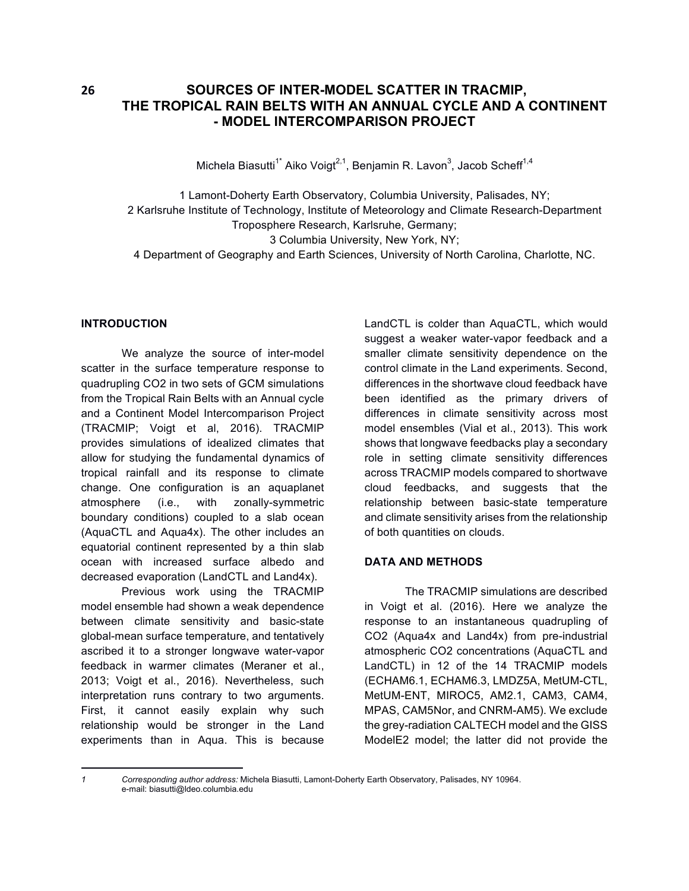# **26** SOURCES OF INTER-MODEL SCATTER IN TRACMIP, **THE TROPICAL RAIN BELTS WITH AN ANNUAL CYCLE AND A CONTINENT - MODEL INTERCOMPARISON PROJECT**

Michela Biasutti $^{1^*}$  Aiko Voigt $^{2,1}$ , Benjamin R. Lavon $^3$ , Jacob Scheff $^{1,4}$ 

1 Lamont-Doherty Earth Observatory, Columbia University, Palisades, NY; 2 Karlsruhe Institute of Technology, Institute of Meteorology and Climate Research-Department Troposphere Research, Karlsruhe, Germany; 3 Columbia University, New York, NY;

4 Department of Geography and Earth Sciences, University of North Carolina, Charlotte, NC.

#### **INTRODUCTION**

We analyze the source of inter-model scatter in the surface temperature response to quadrupling CO2 in two sets of GCM simulations from the Tropical Rain Belts with an Annual cycle and a Continent Model Intercomparison Project (TRACMIP; Voigt et al, 2016). TRACMIP provides simulations of idealized climates that allow for studying the fundamental dynamics of tropical rainfall and its response to climate change. One configuration is an aquaplanet atmosphere (i.e., with zonally-symmetric boundary conditions) coupled to a slab ocean (AquaCTL and Aqua4x). The other includes an equatorial continent represented by a thin slab ocean with increased surface albedo and decreased evaporation (LandCTL and Land4x).

Previous work using the TRACMIP model ensemble had shown a weak dependence between climate sensitivity and basic-state global-mean surface temperature, and tentatively ascribed it to a stronger longwave water-vapor feedback in warmer climates (Meraner et al., 2013; Voigt et al., 2016). Nevertheless, such interpretation runs contrary to two arguments. First, it cannot easily explain why such relationship would be stronger in the Land experiments than in Aqua. This is because

 

LandCTL is colder than AquaCTL, which would suggest a weaker water-vapor feedback and a smaller climate sensitivity dependence on the control climate in the Land experiments. Second, differences in the shortwave cloud feedback have been identified as the primary drivers of differences in climate sensitivity across most model ensembles (Vial et al., 2013). This work shows that longwave feedbacks play a secondary role in setting climate sensitivity differences across TRACMIP models compared to shortwave cloud feedbacks, and suggests that the relationship between basic-state temperature and climate sensitivity arises from the relationship of both quantities on clouds.

## **DATA AND METHODS**

The TRACMIP simulations are described in Voigt et al. (2016). Here we analyze the response to an instantaneous quadrupling of CO2 (Aqua4x and Land4x) from pre-industrial atmospheric CO2 concentrations (AquaCTL and LandCTL) in 12 of the 14 TRACMIP models (ECHAM6.1, ECHAM6.3, LMDZ5A, MetUM-CTL, MetUM-ENT, MIROC5, AM2.1, CAM3, CAM4, MPAS, CAM5Nor, and CNRM-AM5). We exclude the grey-radiation CALTECH model and the GISS ModelE2 model; the latter did not provide the

*<sup>1</sup> Corresponding author address:* Michela Biasutti, Lamont-Doherty Earth Observatory, Palisades, NY 10964. e-mail: biasutti@ldeo.columbia.edu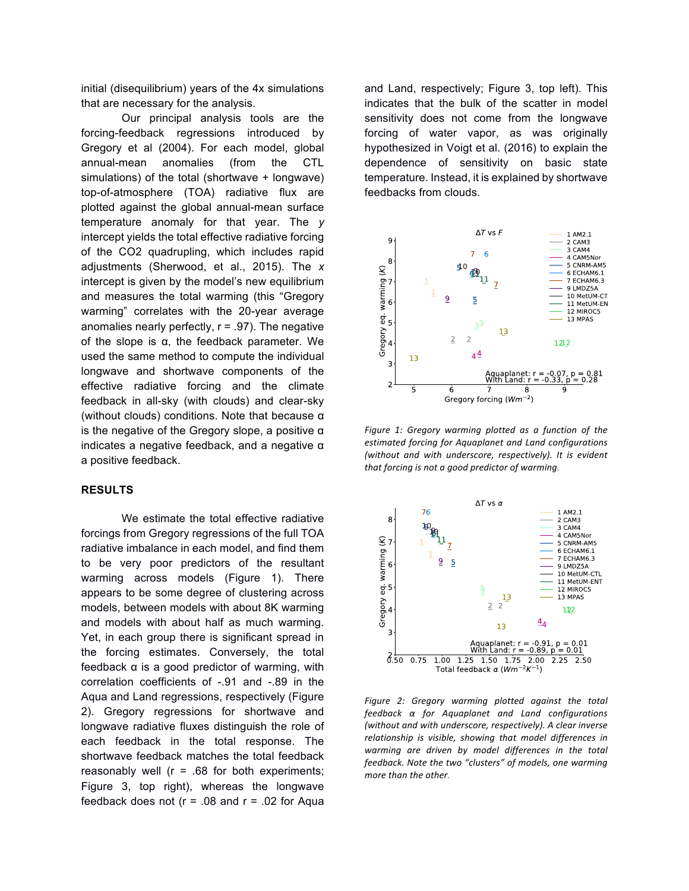initial (disequilibrium) years of the 4x simulations that are necessary for the analysis.

Our principal analysis tools are the forcing-feedback regressions introduced by Gregory et al (2004). For each model, global annual-mean anomalies (from the CTL simulations) of the total (shortwave + longwave) top-of-atmosphere (TOA) radiative flux are plotted against the global annual-mean surface temperature anomaly for that year. The *y* intercept yields the total effective radiative forcing of the CO2 quadrupling, which includes rapid adjustments (Sherwood, et al., 2015). The *x* intercept is given by the model's new equilibrium and measures the total warming (this "Gregory warming" correlates with the 20-year average anomalies nearly perfectly,  $r = .97$ ). The negative of the slope is α, the feedback parameter. We used the same method to compute the individual longwave and shortwave components of the effective radiative forcing and the climate feedback in all-sky (with clouds) and clear-sky (without clouds) conditions. Note that because α is the negative of the Gregory slope, a positive α indicates a negative feedback, and a negative α a positive feedback.

#### **RESULTS**

We estimate the total effective radiative forcings from Gregory regressions of the full TOA radiative imbalance in each model, and find them to be very poor predictors of the resultant warming across models (Figure 1). There appears to be some degree of clustering across models, between models with about 8K warming and models with about half as much warming. Yet, in each group there is significant spread in the forcing estimates. Conversely, the total feedback α is a good predictor of warming, with correlation coefficients of -.91 and -.89 in the Aqua and Land regressions, respectively (Figure 2). Gregory regressions for shortwave and longwave radiative fluxes distinguish the role of each feedback in the total response. The shortwave feedback matches the total feedback reasonably well ( $r = .68$  for both experiments; Figure 3, top right), whereas the longwave feedback does not ( $r = .08$  and  $r = .02$  for Aqua

and Land, respectively; Figure 3, top left). This indicates that the bulk of the scatter in model sensitivity does not come from the longwave forcing of water vapor, as was originally hypothesized in Voigt et al. (2016) to explain the dependence of sensitivity on basic state temperature. Instead, it is explained by shortwave feedbacks from clouds.



Figure 1: Gregory warming plotted as a function of the estimated forcing for Aquaplanet and Land configurations *(without and with underscore, respectively). It is evident* that forcing is not a good predictor of warming.



Figure 2: Gregory warming plotted against the total *feedback α for Aquaplanet and Land configurations (without and with underscore, respectively). A clear inverse* relationship is visible, showing that model differences in warming are driven by model differences in the total *feedback.* Note the two "clusters" of models, one warming *more than the other.*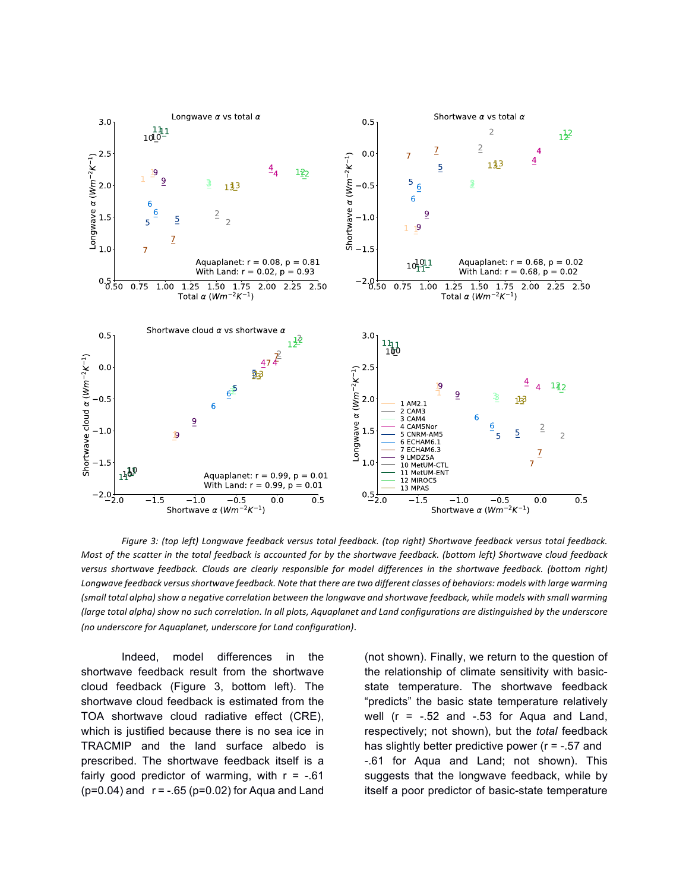

Figure 3: (top left) Longwave feedback versus total feedback. (top right) Shortwave feedback versus total feedback. *Most of the scatter in the total feedback is accounted for by the shortwave feedback. (bottom left) Shortwave cloud feedback* versus shortwave feedback. Clouds are clearly responsible for model differences in the shortwave feedback. (bottom right) Longwave feedback versus shortwave feedback. Note that there are two different classes of behaviors: models with large warming (small total alpha) show a negative correlation between the longwave and shortwave feedback, while models with small warming *(large total alpha)* show no such correlation. In all plots, Aquaplanet and Land configurations are distinguished by the underscore *(no underscore for Aquaplanet, underscore for Land configuration).* 

Indeed, model differences in the shortwave feedback result from the shortwave cloud feedback (Figure 3, bottom left). The shortwave cloud feedback is estimated from the TOA shortwave cloud radiative effect (CRE), which is justified because there is no sea ice in TRACMIP and the land surface albedo is prescribed. The shortwave feedback itself is a fairly good predictor of warming, with  $r = -0.61$  $(p=0.04)$  and  $r = -.65$  ( $p=0.02$ ) for Aqua and Land

(not shown). Finally, we return to the question of the relationship of climate sensitivity with basicstate temperature. The shortwave feedback "predicts" the basic state temperature relatively well  $(r = -.52$  and  $-.53$  for Aqua and Land, respectively; not shown), but the *total* feedback has slightly better predictive power ( $r = -0.57$  and -.61 for Aqua and Land; not shown). This suggests that the longwave feedback, while by itself a poor predictor of basic-state temperature